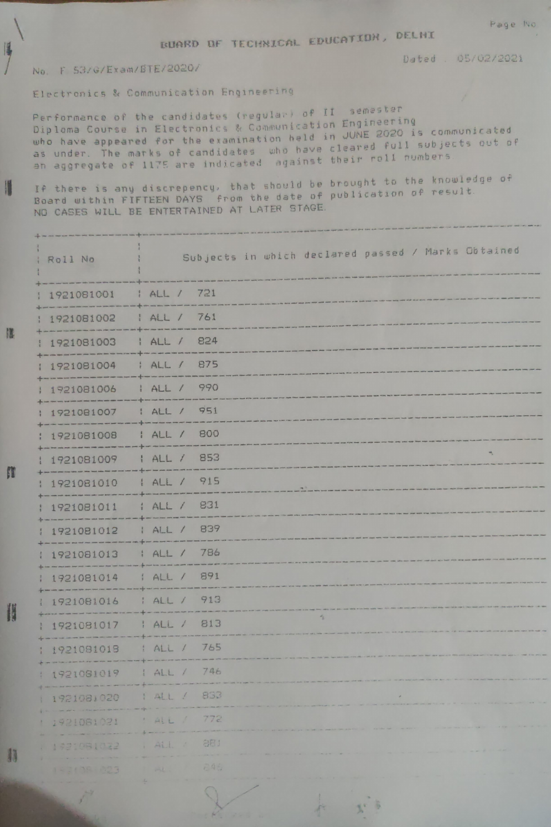BUARD OF TECHNICAL EDUCATION, DELHI

Dated . 05/02/2021

## No. F 53/G/Exam/BTE/2020/

H

I

EN

H

籍

Electronics & Communication Engineering

Performance of the candidates (regular) of II semester Diploma Course in Electronics & Communication Engineering who have appeared for the examination held in JUNE 2020 is communicated as under. The marks of candidates who have cleared full subjects out of<br>an aggregate of 1175 are indicated against their roll numbers

If there is any discrepency, that should be brought to the knowledge of Board within FIFTEEN DAYS from the date of publication of result. ND CASES WILL BE ENTERTAINED AT LATER STAGE.

| Roll No                                                                                           | Subjects in which declared passed / Marks Obtained                                                                                                                                                                                                                                                                                                                                                  |
|---------------------------------------------------------------------------------------------------|-----------------------------------------------------------------------------------------------------------------------------------------------------------------------------------------------------------------------------------------------------------------------------------------------------------------------------------------------------------------------------------------------------|
| 1921081001                                                                                        | 1 ALL / 721                                                                                                                                                                                                                                                                                                                                                                                         |
| <b>NAME AND POST OFFICE ADDRESS</b><br>1921081002                                                 | HALL / 761                                                                                                                                                                                                                                                                                                                                                                                          |
| 1921081003                                                                                        | 824<br>HALL/                                                                                                                                                                                                                                                                                                                                                                                        |
| the property start print where there were not exceed the start where the the<br>1921081004        | 875<br>HALL                                                                                                                                                                                                                                                                                                                                                                                         |
| <del>+</del> --------------<br>1921081006<br>+--------                                            | 990<br>HALL/                                                                                                                                                                                                                                                                                                                                                                                        |
| 1921081007                                                                                        | 951<br>HALL/                                                                                                                                                                                                                                                                                                                                                                                        |
| 1921081008<br>---------                                                                           | : ALL / 800                                                                                                                                                                                                                                                                                                                                                                                         |
| 1921081009<br>-------------                                                                       | ٦<br>  ALL / 853<br>-----                                                                                                                                                                                                                                                                                                                                                                           |
| 1921081010                                                                                        | ALL / 915<br>$\mathcal{F}^+$<br>the original company and start part that                                                                                                                                                                                                                                                                                                                            |
| 1921081011<br>the party start against them when these party there are the party of the party      | 831<br>HALL<br>searches and man man and man with the                                                                                                                                                                                                                                                                                                                                                |
| 1921081012                                                                                        | 839<br>I ALL /<br>the new measurements and                                                                                                                                                                                                                                                                                                                                                          |
| 1 1921081013<br>the photograph and out of the company and the company of the state of the company | 786<br>HALL/                                                                                                                                                                                                                                                                                                                                                                                        |
| 1921081014                                                                                        | 891<br>A L L /                                                                                                                                                                                                                                                                                                                                                                                      |
| 1 1921081016                                                                                      | 913<br>HALL/                                                                                                                                                                                                                                                                                                                                                                                        |
| 1 1921081017                                                                                      | $\frac{1}{2}$<br>813<br>HALL/                                                                                                                                                                                                                                                                                                                                                                       |
| 1921081018                                                                                        | : ALL / 765                                                                                                                                                                                                                                                                                                                                                                                         |
| : 1921081019                                                                                      | 1 ALL / 746                                                                                                                                                                                                                                                                                                                                                                                         |
| 1 1921081020                                                                                      | 1 ALL / 833                                                                                                                                                                                                                                                                                                                                                                                         |
| 1921081021                                                                                        | 772<br>: ALL I                                                                                                                                                                                                                                                                                                                                                                                      |
| 1321081032                                                                                        | 881<br>i ALL :                                                                                                                                                                                                                                                                                                                                                                                      |
| 153138 823                                                                                        | 245<br>$\frac{1}{2} \frac{1}{2} \frac{1}{2} \frac{1}{2} \frac{1}{2} \frac{1}{2} \frac{1}{2} \frac{1}{2} \frac{1}{2} \frac{1}{2} \frac{1}{2} \frac{1}{2} \frac{1}{2} \frac{1}{2} \frac{1}{2} \frac{1}{2} \frac{1}{2} \frac{1}{2} \frac{1}{2} \frac{1}{2} \frac{1}{2} \frac{1}{2} \frac{1}{2} \frac{1}{2} \frac{1}{2} \frac{1}{2} \frac{1}{2} \frac{1}{2} \frac{1}{2} \frac{1}{2} \frac{1}{2} \frac{$ |

中華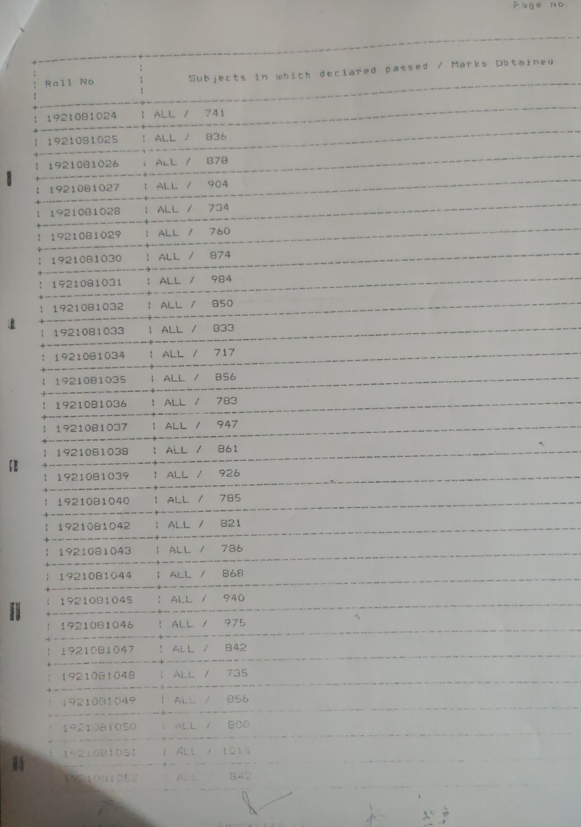| Roll No                                                | Subjects in which declared passed / Marks Obtained |
|--------------------------------------------------------|----------------------------------------------------|
| 1921081024                                             | 1 ALL / 741                                        |
|                                                        | : ALL / 836                                        |
| 1 1921081025                                           | : ALL / 878                                        |
| 1 1921081026                                           | 904<br>$H_{LL}$                                    |
| : 1921081027                                           | 734<br>HALL /                                      |
| 1 1921081028                                           | 760                                                |
| 1921081029                                             | HAL /<br>the surface that there have not the same  |
| : 1921081030<br>them have two country and the state of | 874<br>$1$ ALL $/$                                 |
| 1921081031<br>the party dealer and the con-            | 984<br>; ALL /                                     |
| 1921081032                                             | 850<br>! ALL /                                     |
| 1 1921081033                                           | 833<br>HALL /                                      |
| 1 1921081034                                           | 717<br>HALL                                        |
| 1921081035                                             | 856<br>ALL/                                        |
| 1 1921081036                                           | 783<br>HALL                                        |
| 1 1921081037                                           | 947<br>HALL/                                       |
| 1 1921081038                                           | $\rightarrow$<br>861<br>HAL /                      |
| 1 1921081039                                           | 926<br>! ALL /                                     |
|                                                        |                                                    |
| 1921081040                                             | : ALL / 785                                        |
| +--------------<br>1921081042                          | : ALL / 821                                        |
| 1921081043                                             | 786<br>HALL                                        |
| 1921081044   ALL /                                     | 868                                                |
| 1921081045                                             | 940<br>ABL/                                        |
| 1921081046                                             | $\mathcal{A}_{\Sigma}$<br>975<br>HALL              |
| 1 1921081047                                           | 842<br>1 At 1                                      |
| 1 1921081048                                           | 1 ALL / 735                                        |
| 1 1921081049                                           | 1 ALL / 856                                        |
| 1 1921081050                                           | . ALL / 800                                        |
|                                                        | 1 1921081051   ALL / 1015                          |
|                                                        | 1721091952 : ALL / 842<br>$\frac{1}{\sqrt{2}}$     |

H

津

P

产

年